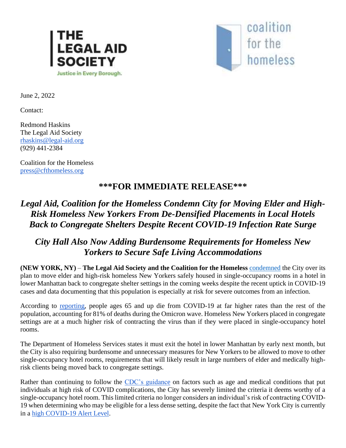



June 2, 2022

Contact:

Redmond Haskins The Legal Aid Society [rhaskins@legal-aid.org](mailto:rhaskins@legal-aid.org) (929) 441-2384

Coalition for the Homeless [press@cfthomeless.org](mailto:press@cfthomeless.org)

## **\*\*\*FOR IMMEDIATE RELEASE\*\*\***

## *Legal Aid, Coalition for the Homeless Condemn City for Moving Elder and High-Risk Homeless New Yorkers From De-Densified Placements in Local Hotels Back to Congregate Shelters Despite Recent COVID-19 Infection Rate Surge*

## *City Hall Also Now Adding Burdensome Requirements for Homeless New Yorkers to Secure Safe Living Accommodations*

**(NEW YORK, NY)** – **The Legal Aid Society and the Coalition for the Homeless** [condemned](https://gothamist.com/news/city-looks-to-end-pandemic-era-protections-for-older-and-some-medically-vulnerable-homeless-people) the City over its plan to move elder and high-risk homeless New Yorkers safely housed in single-occupancy rooms in a hotel in lower Manhattan back to congregate shelter settings in the coming weeks despite the recent uptick in COVID-19 cases and data documenting that this population is especially at risk for severe outcomes from an infection.

According to [reporting,](https://www.nytimes.com/2022/05/31/health/omicron-deaths-age-65-elderly.html) people ages 65 and up die from COVID-19 at far higher rates than the rest of the population, accounting for 81% of deaths during the Omicron wave. Homeless New Yorkers placed in congregate settings are at a much higher risk of contracting the virus than if they were placed in single-occupancy hotel rooms.

The Department of Homeless Services states it must exit the hotel in lower Manhattan by early next month, but the City is also requiring burdensome and unnecessary measures for New Yorkers to be allowed to move to other single-occupancy hotel rooms, requirements that will likely result in large numbers of elder and medically highrisk clients being moved back to congregate settings.

Rather than continuing to follow the [CDC's guidance](https://www.cdc.gov/coronavirus/2019-ncov/need-extra-precautions/people-with-medical-conditions.html) on factors such as age and medical conditions that put individuals at high risk of COVID complications, the City has severely limited the criteria it deems worthy of a single-occupancy hotel room. This limited criteria no longer considers an individual's risk of contracting COVID-19 when determining who may be eligible for a less dense setting, despite the fact that New York City is currently in a [high COVID-19 Alert Level.](https://www1.nyc.gov/site/doh/covid/covid-19-alert-levels.page)